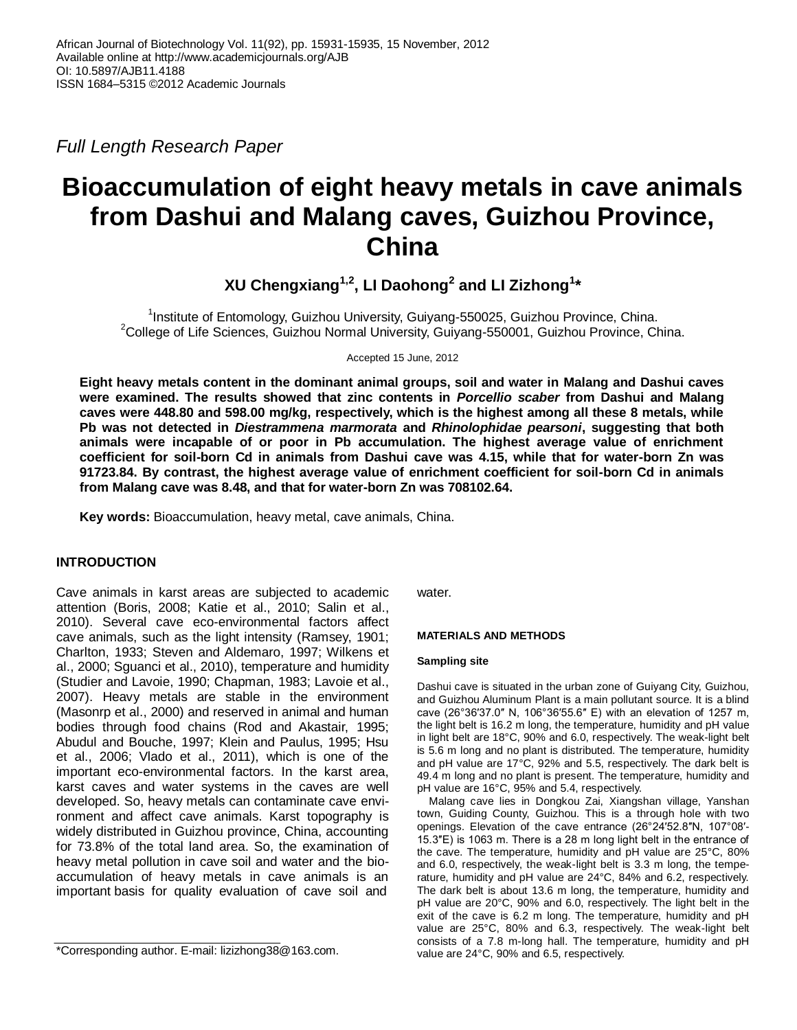*Full Length Research Paper*

# **Bioaccumulation of eight heavy metals in cave animals from Dashui and Malang caves, Guizhou Province, China**

**XU Chengxiang1,2, LI Daohong<sup>2</sup> and LI Zizhong<sup>1</sup> \***

<sup>1</sup>Institute of Entomology, Guizhou University, Guiyang-550025, Guizhou Province, China. <sup>2</sup>College of Life Sciences, Guizhou Normal University, Guiyang-550001, Guizhou Province, China.

Accepted 15 June, 2012

**Eight heavy metals content in the dominant animal groups, soil and water in Malang and Dashui caves were examined. The results showed that zinc contents in** *Porcellio scaber* **from Dashui and Malang caves were 448.80 and 598.00 mg/kg, respectively, which is the highest among all these 8 metals, while Pb was not detected in** *Diestrammena marmorata* **and** *Rhinolophidae pearsoni***, suggesting that both animals were incapable of or poor in Pb accumulation. The highest average value of enrichment coefficient for soil-born Cd in animals from Dashui cave was 4.15, while that for water-born Zn was 91723.84. By contrast, the highest average value of enrichment coefficient for soil-born Cd in animals from Malang cave was 8.48, and that for water-born Zn was 708102.64.**

**Key words:** Bioaccumulation, heavy metal, cave animals, China.

# **INTRODUCTION**

Cave animals in karst areas are subjected to academic attention (Boris, 2008; Katie et al., 2010; Salin et al., 2010). Several cave eco-environmental factors affect cave animals, such as the light intensity (Ramsey, 1901; Charlton, 1933; Steven and Aldemaro, 1997; Wilkens et al., 2000; Sguanci et al., 2010), temperature and humidity (Studier and Lavoie, 1990; Chapman, 1983; Lavoie et al., 2007). Heavy metals are stable in the environment (Masonrp et al., 2000) and reserved in animal and human bodies through food chains (Rod and Akastair, 1995; Abudul and Bouche, 1997; Klein and Paulus, 1995; Hsu et al., 2006; Vlado et al., 2011), which is one of the important eco-environmental factors. In the karst area, karst caves and water systems in the caves are well developed. So, heavy metals can contaminate cave environment and affect cave animals. Karst topography is widely distributed in Guizhou province, China, accounting for 73.8% of the total land area. So, the examination of heavy metal pollution in cave soil and water and the bioaccumulation of heavy metals in cave animals is an important basis for quality evaluation of cave soil and

water.

## **MATERIALS AND METHODS**

## **Sampling site**

Dashui cave is situated in the urban zone of Guiyang City, Guizhou, and Guizhou Aluminum Plant is a main pollutant source. It is a blind cave (26°36′37.0″ N, 106°36′55.6″ E) with an elevation of 1257 m, the light belt is 16.2 m long, the temperature, humidity and pH value in light belt are 18°C, 90% and 6.0, respectively. The weak-light belt is 5.6 m long and no plant is distributed. The temperature, humidity and pH value are 17°C, 92% and 5.5, respectively. The dark belt is 49.4 m long and no plant is present. The temperature, humidity and pH value are 16°C, 95% and 5.4, respectively.

Malang cave lies in Dongkou Zai, Xiangshan village, Yanshan town, Guiding County, Guizhou. This is a through hole with two openings. Elevation of the cave entrance (26°24′52.8″N, 107°08′- 15.3″E) is 1063 m. There is a 28 m long light belt in the entrance of the cave. The temperature, humidity and pH value are 25°C, 80% and 6.0, respectively, the weak-light belt is 3.3 m long, the temperature, humidity and pH value are 24°C, 84% and 6.2, respectively. The dark belt is about 13.6 m long, the temperature, humidity and pH value are 20°C, 90% and 6.0, respectively. The light belt in the exit of the cave is 6.2 m long. The temperature, humidity and pH value are 25°C, 80% and 6.3, respectively. The weak-light belt consists of a 7.8 m-long hall. The temperature, humidity and pH value are 24°C, 90% and 6.5, respectively.

<sup>\*</sup>Corresponding author. E-mail: lizizhong38@163.com.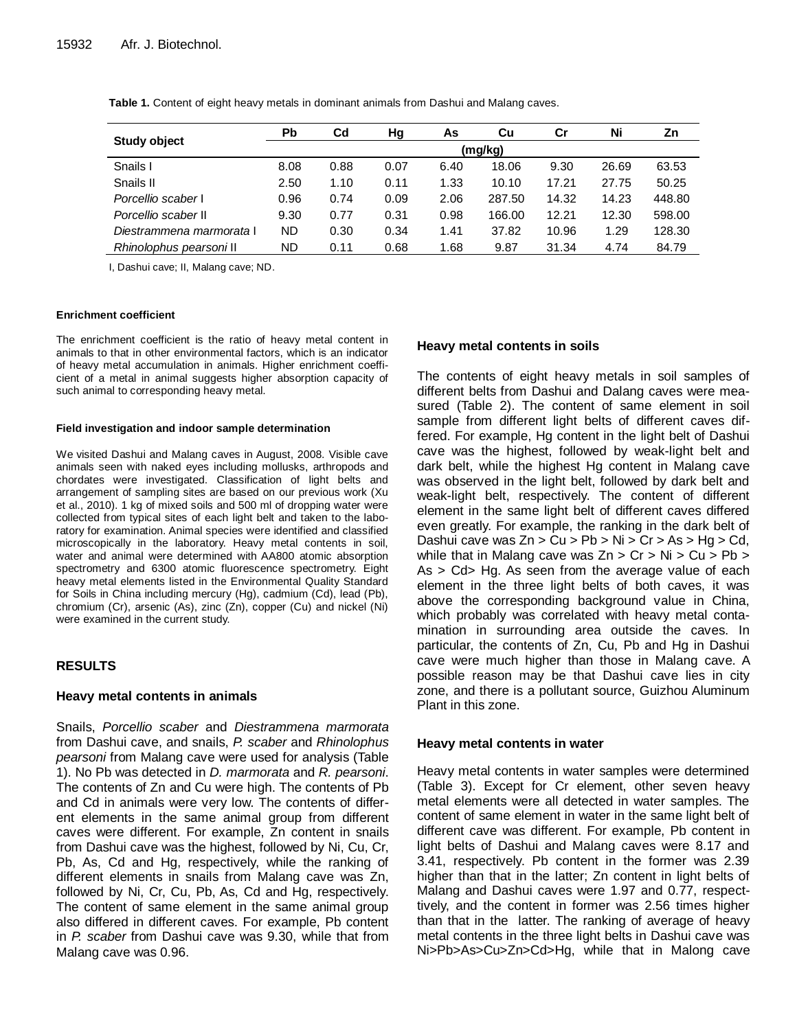| <b>Study object</b>      | Pb      | Cd   | Hg   | As   | Cu     | Cr    | Ni    | Zn     |
|--------------------------|---------|------|------|------|--------|-------|-------|--------|
|                          | (mg/kg) |      |      |      |        |       |       |        |
| Snails I                 | 8.08    | 0.88 | 0.07 | 6.40 | 18.06  | 9.30  | 26.69 | 63.53  |
| Snails II                | 2.50    | 1.10 | 0.11 | 1.33 | 10.10  | 17.21 | 27.75 | 50.25  |
| Porcellio scaber I       | 0.96    | 0.74 | 0.09 | 2.06 | 287.50 | 14.32 | 14.23 | 448.80 |
| Porcellio scaber II      | 9.30    | 0.77 | 0.31 | 0.98 | 166.00 | 12.21 | 12.30 | 598.00 |
| Diestrammena marmorata l | ND      | 0.30 | 0.34 | 1.41 | 37.82  | 10.96 | 1.29  | 128.30 |
| Rhinolophus pearsoni II  | ND      | 0.11 | 0.68 | 1.68 | 9.87   | 31.34 | 4.74  | 84.79  |

**Table 1.** Content of eight heavy metals in dominant animals from Dashui and Malang caves.

I, Dashui cave; II, Malang cave; ND.

## **Enrichment coefficient**

The enrichment coefficient is the ratio of heavy metal content in animals to that in other environmental factors, which is an indicator of heavy metal accumulation in animals. Higher enrichment coefficient of a metal in animal suggests higher absorption capacity of such animal to corresponding heavy metal.

## **Field investigation and indoor sample determination**

We visited Dashui and Malang caves in August, 2008. Visible cave animals seen with naked eyes including mollusks, arthropods and chordates were investigated. Classification of light belts and arrangement of sampling sites are based on our previous work (Xu et al., 2010). 1 kg of mixed soils and 500 ml of dropping water were collected from typical sites of each light belt and taken to the laboratory for examination. Animal species were identified and classified microscopically in the laboratory. Heavy metal contents in soil, water and animal were determined with AA800 atomic absorption spectrometry and 6300 atomic fluorescence spectrometry. Eight heavy metal elements listed in the Environmental Quality Standard for Soils in China including mercury (Hg), cadmium (Cd), lead (Pb), chromium (Cr), arsenic (As), zinc (Zn), copper (Cu) and nickel (Ni) were examined in the current study.

# **RESULTS**

# **Heavy metal contents in animals**

Snails, *Porcellio scaber* and *Diestrammena marmorata* from Dashui cave, and snails, *P. scaber* and *Rhinolophus pearsoni* from Malang cave were used for analysis (Table 1). No Pb was detected in *D. marmorata* and *R. pearsoni*. The contents of Zn and Cu were high. The contents of Pb and Cd in animals were very low. The contents of different elements in the same animal group from different caves were different. For example, Zn content in snails from Dashui cave was the highest, followed by Ni, Cu, Cr, Pb, As, Cd and Hg, respectively, while the ranking of different elements in snails from Malang cave was Zn, followed by Ni, Cr, Cu, Pb, As, Cd and Hg, respectively. The content of same element in the same animal group also differed in different caves. For example, Pb content in *P. scaber* from Dashui cave was 9.30, while that from Malang cave was 0.96.

# **Heavy metal contents in soils**

The contents of eight heavy metals in soil samples of different belts from Dashui and Dalang caves were measured (Table 2). The content of same element in soil sample from different light belts of different caves differed. For example, Hg content in the light belt of Dashui cave was the highest, followed by weak-light belt and dark belt, while the highest Hg content in Malang cave was observed in the light belt, followed by dark belt and weak-light belt, respectively. The content of different element in the same light belt of different caves differed even greatly. For example, the ranking in the dark belt of Dashui cave was  $Zn > Cu > Pb > Ni > Cr > As > Hg > Cd$ , while that in Malang cave was  $Zn > Cr > Ni > Cu > Pb >$  $As > Cd$  Hg. As seen from the average value of each element in the three light belts of both caves, it was above the corresponding background value in China, which probably was correlated with heavy metal contamination in surrounding area outside the caves. In particular, the contents of Zn, Cu, Pb and Hg in Dashui cave were much higher than those in Malang cave. A possible reason may be that Dashui cave lies in city zone, and there is a pollutant source, Guizhou Aluminum Plant in this zone.

## **Heavy metal contents in water**

Heavy metal contents in water samples were determined (Table 3). Except for Cr element, other seven heavy metal elements were all detected in water samples. The content of same element in water in the same light belt of different cave was different. For example, Pb content in light belts of Dashui and Malang caves were 8.17 and 3.41, respectively. Pb content in the former was 2.39 higher than that in the latter; Zn content in light belts of Malang and Dashui caves were 1.97 and 0.77, respecttively, and the content in former was 2.56 times higher than that in the latter. The ranking of average of heavy metal contents in the three light belts in Dashui cave was Ni>Pb>As>Cu>Zn>Cd>Hg, while that in Malong cave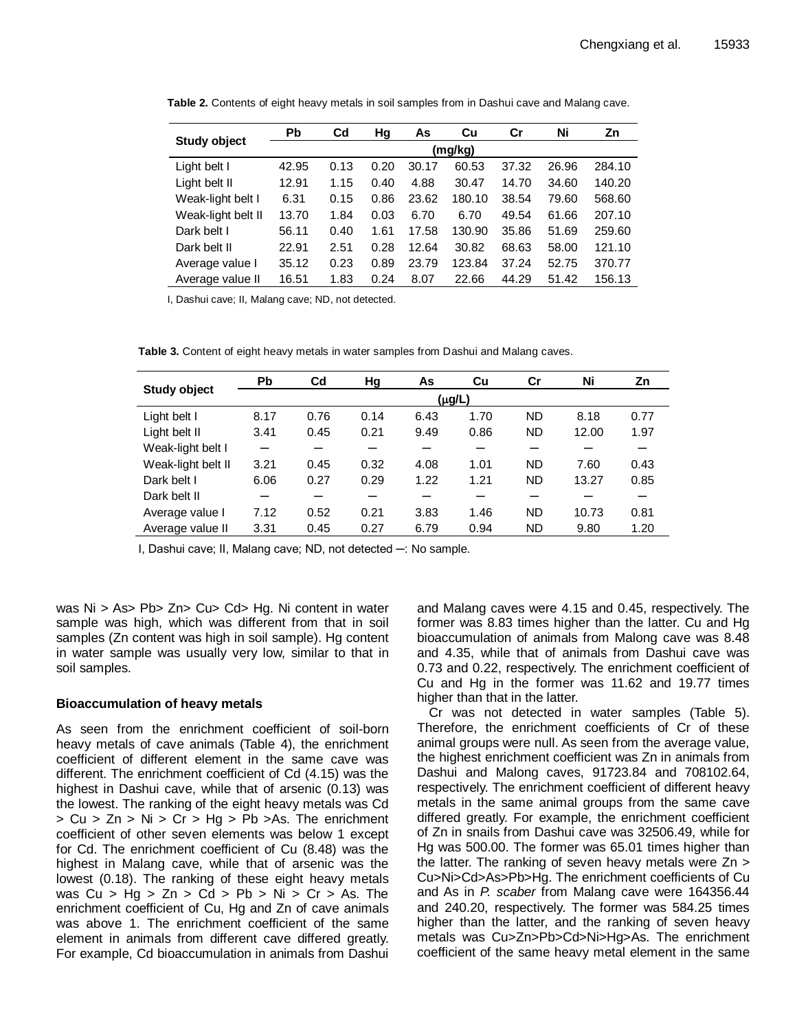| <b>Study object</b> | Pb      | Cd   | Hq   | As    | Cu     | Cr    | Ni    | Zn     |
|---------------------|---------|------|------|-------|--------|-------|-------|--------|
|                     | (mg/kg) |      |      |       |        |       |       |        |
| Light belt I        | 42.95   | 0.13 | 0.20 | 30.17 | 60.53  | 37.32 | 26.96 | 284.10 |
| Light belt II       | 12.91   | 1.15 | 0.40 | 4.88  | 30.47  | 14.70 | 34.60 | 140.20 |
| Weak-light belt I   | 6.31    | 0.15 | 0.86 | 23.62 | 180.10 | 38.54 | 79.60 | 568.60 |
| Weak-light belt II  | 13.70   | 1.84 | 0.03 | 6.70  | 6.70   | 49.54 | 61.66 | 207.10 |
| Dark belt I         | 56.11   | 0.40 | 1.61 | 17.58 | 130.90 | 35.86 | 51.69 | 259.60 |
| Dark belt II        | 22.91   | 2.51 | 0.28 | 12.64 | 30.82  | 68.63 | 58.00 | 121.10 |
| Average value I     | 35.12   | 0.23 | 0.89 | 23.79 | 123.84 | 37.24 | 52.75 | 370.77 |
| Average value II    | 16.51   | 1.83 | 0.24 | 8.07  | 22.66  | 44.29 | 51.42 | 156.13 |

**Table 2.** Contents of eight heavy metals in soil samples from in Dashui cave and Malang cave.

I, Dashui cave; II, Malang cave; ND, not detected.

| <b>Study object</b> | <b>Pb</b>   | C <sub>d</sub> | Hg   | As   | Cu   | Cr        | Ni    | Zn   |  |  |
|---------------------|-------------|----------------|------|------|------|-----------|-------|------|--|--|
|                     | $(\mu g/L)$ |                |      |      |      |           |       |      |  |  |
| Light belt I        | 8.17        | 0.76           | 0.14 | 6.43 | 1.70 | <b>ND</b> | 8.18  | 0.77 |  |  |
| Light belt II       | 3.41        | 0.45           | 0.21 | 9.49 | 0.86 | <b>ND</b> | 12.00 | 1.97 |  |  |
| Weak-light belt I   |             |                |      |      |      |           |       |      |  |  |
| Weak-light belt II  | 3.21        | 0.45           | 0.32 | 4.08 | 1.01 | <b>ND</b> | 7.60  | 0.43 |  |  |
| Dark belt I         | 6.06        | 0.27           | 0.29 | 1.22 | 1.21 | <b>ND</b> | 13.27 | 0.85 |  |  |
| Dark belt II        |             |                |      |      |      |           |       |      |  |  |
| Average value I     | 7.12        | 0.52           | 0.21 | 3.83 | 1.46 | <b>ND</b> | 10.73 | 0.81 |  |  |
| Average value II    | 3.31        | 0.45           | 0.27 | 6.79 | 0.94 | <b>ND</b> | 9.80  | 1.20 |  |  |

**Table 3.** Content of eight heavy metals in water samples from Dashui and Malang caves.

I, Dashui cave; II, Malang cave; ND, not detected ─: No sample.

was Ni > As> Pb> Zn> Cu> Cd> Hg. Ni content in water sample was high, which was different from that in soil samples (Zn content was high in soil sample). Hg content in water sample was usually very low, similar to that in soil samples.

## **Bioaccumulation of heavy metals**

As seen from the enrichment coefficient of soil-born heavy metals of cave animals (Table 4), the enrichment coefficient of different element in the same cave was different. The enrichment coefficient of Cd (4.15) was the highest in Dashui cave, while that of arsenic (0.13) was the lowest. The ranking of the eight heavy metals was Cd  $> Cu > Zn > Ni > Cr > Hg > Pb > As.$  The enrichment coefficient of other seven elements was below 1 except for Cd. The enrichment coefficient of Cu (8.48) was the highest in Malang cave, while that of arsenic was the lowest (0.18). The ranking of these eight heavy metals was  $Cu$  >  $Hg$  >  $Zn$  >  $Cd$  >  $Pb$  >  $Ni$  >  $Cr$  > As. The enrichment coefficient of Cu, Hg and Zn of cave animals was above 1. The enrichment coefficient of the same element in animals from different cave differed greatly. For example, Cd bioaccumulation in animals from Dashui and Malang caves were 4.15 and 0.45, respectively. The former was 8.83 times higher than the latter. Cu and Hg bioaccumulation of animals from Malong cave was 8.48 and 4.35, while that of animals from Dashui cave was 0.73 and 0.22, respectively. The enrichment coefficient of Cu and Hg in the former was 11.62 and 19.77 times higher than that in the latter.

Cr was not detected in water samples (Table 5). Therefore, the enrichment coefficients of Cr of these animal groups were null. As seen from the average value, the highest enrichment coefficient was Zn in animals from Dashui and Malong caves, 91723.84 and 708102.64, respectively. The enrichment coefficient of different heavy metals in the same animal groups from the same cave differed greatly. For example, the enrichment coefficient of Zn in snails from Dashui cave was 32506.49, while for Hg was 500.00. The former was 65.01 times higher than the latter. The ranking of seven heavy metals were Zn > Cu>Ni>Cd>As>Pb>Hg. The enrichment coefficients of Cu and As in *P. scaber* from Malang cave were 164356.44 and 240.20, respectively. The former was 584.25 times higher than the latter, and the ranking of seven heavy metals was Cu>Zn>Pb>Cd>Ni>Hg>As. The enrichment coefficient of the same heavy metal element in the same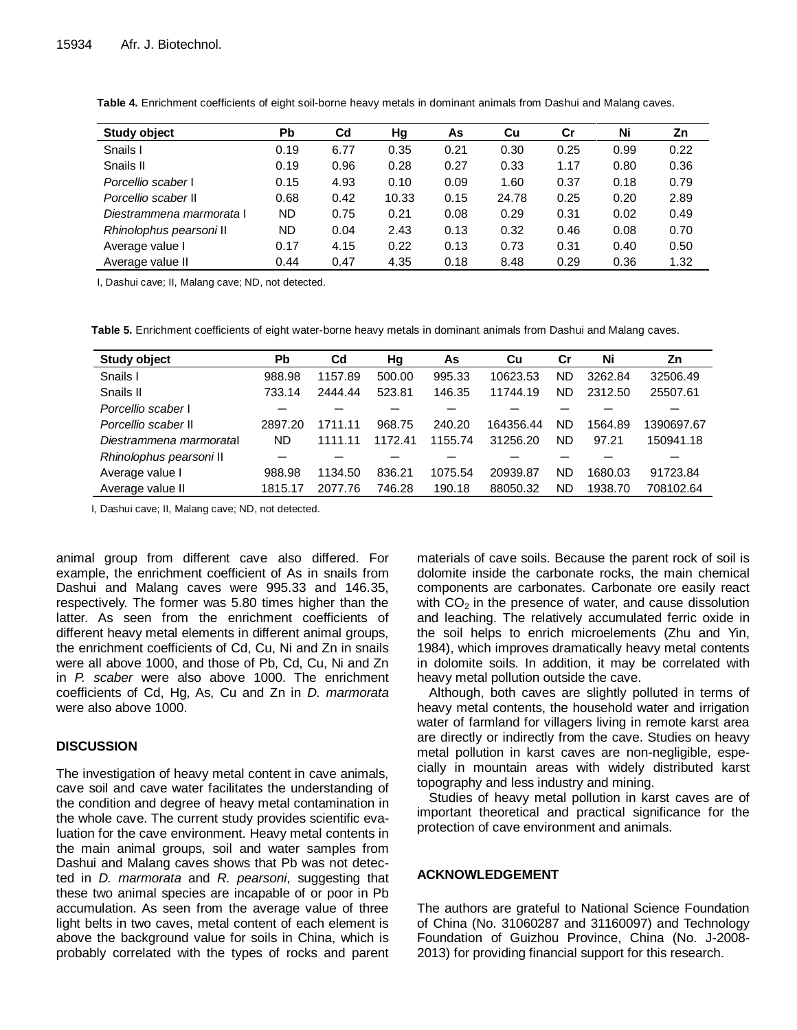| <b>Study object</b>      | Pb   | $_{\rm Cd}$ | Hg    | As   | Cu    | Cr   | Ni   | Zn   |
|--------------------------|------|-------------|-------|------|-------|------|------|------|
| Snails I                 | 0.19 | 6.77        | 0.35  | 0.21 | 0.30  | 0.25 | 0.99 | 0.22 |
| Snails II                | 0.19 | 0.96        | 0.28  | 0.27 | 0.33  | 1.17 | 0.80 | 0.36 |
| Porcellio scaber I       | 0.15 | 4.93        | 0.10  | 0.09 | 1.60  | 0.37 | 0.18 | 0.79 |
| Porcellio scaber II      | 0.68 | 0.42        | 10.33 | 0.15 | 24.78 | 0.25 | 0.20 | 2.89 |
| Diestrammena marmorata l | ND   | 0.75        | 0.21  | 0.08 | 0.29  | 0.31 | 0.02 | 0.49 |
| Rhinolophus pearsoni II  | ND   | 0.04        | 2.43  | 0.13 | 0.32  | 0.46 | 0.08 | 0.70 |
| Average value I          | 0.17 | 4.15        | 0.22  | 0.13 | 0.73  | 0.31 | 0.40 | 0.50 |
| Average value II         | 0.44 | 0.47        | 4.35  | 0.18 | 8.48  | 0.29 | 0.36 | 1.32 |

**Table 4.** [Enrichment coefficients](http://dict.cnki.net/dict_result.aspx?searchword=%e5%af%8c%e9%9b%86%e7%b3%bb%e6%95%b0&tjType=sentence&style=&t=enrichment+coefficient) of eight soil-borne heavy metals in dominant animals from Dashui and Malang caves.

I, Dashui cave; II, Malang cave; ND, not detected.

**Table 5.** [Enrichment coefficients](http://dict.cnki.net/dict_result.aspx?searchword=%e5%af%8c%e9%9b%86%e7%b3%bb%e6%95%b0&tjType=sentence&style=&t=enrichment+coefficient) of eight water-borne heavy metals in dominant animals from Dashui and Malang caves.

| <b>Study object</b>     | Pb      | $_{\rm Cd}$ | Hg      | As      | Cu        | Cr | Ni      | Zn         |
|-------------------------|---------|-------------|---------|---------|-----------|----|---------|------------|
| Snails I                | 988.98  | 1157.89     | 500.00  | 995.33  | 10623.53  | ND | 3262.84 | 32506.49   |
| Snails II               | 733.14  | 2444.44     | 523.81  | 146.35  | 11744.19  | ND | 2312.50 | 25507.61   |
| Porcellio scaber I      |         |             |         |         |           |    |         |            |
| Porcellio scaber II     | 2897.20 | 1711.11     | 968.75  | 240.20  | 164356.44 | ND | 1564.89 | 1390697.67 |
| Diestrammena marmoratal | ND      | 1111 11     | 1172.41 | 1155.74 | 31256.20  | ND | 97.21   | 150941.18  |
| Rhinolophus pearsoni II |         |             |         |         |           |    |         |            |
| Average value I         | 988.98  | 1134.50     | 836.21  | 1075.54 | 20939.87  | ND | 1680.03 | 91723.84   |
| Average value II        | 1815.17 | 2077.76     | 746.28  | 190.18  | 88050.32  | ND | 1938.70 | 708102.64  |

I, Dashui cave; II, Malang cave; ND, not detected.

animal group from different cave also differed. For example, the enrichment coefficient of As in snails from Dashui and Malang caves were 995.33 and 146.35, respectively. The former was 5.80 times higher than the latter. As seen from the enrichment coefficients of different heavy metal elements in different animal groups, the enrichment coefficients of Cd, Cu, Ni and Zn in snails were all above 1000, and those of Pb, Cd, Cu, Ni and Zn in *P. scaber* were also above 1000. The enrichment coefficients of Cd, Hg, As, Cu and Zn in *D. marmorata* were also above 1000.

## **DISCUSSION**

The investigation of heavy metal content in cave animals, cave soil and cave water facilitates the understanding of the condition and degree of heavy metal contamination in the whole cave. The current study provides scientific evaluation for the cave environment. Heavy metal contents in the main animal groups, soil and water samples from Dashui and Malang caves shows that Pb was not detected in *D. marmorata* and *R. pearsoni*, suggesting that these two animal species are incapable of or poor in Pb accumulation. As seen from the average value of three light belts in two caves, metal content of each element is above the background value for soils in China, which is probably correlated with the types of rocks and parent materials of cave soils. Because the parent rock of soil is dolomite inside the carbonate rocks, the main chemical components are carbonates. Carbonate ore easily react with  $CO<sub>2</sub>$  in the presence of water, and cause dissolution and leaching. The relatively accumulated ferric oxide in the soil helps to enrich microelements (Zhu and Yin, 1984), which improves dramatically heavy metal contents in dolomite soils. In addition, it may be correlated with heavy metal pollution outside the cave.

Although, both caves are slightly polluted in terms of heavy metal contents, the household water and irrigation water of farmland for villagers living in remote karst area are directly or indirectly from the cave. Studies on heavy metal pollution in karst caves are non-negligible, especially in mountain areas with widely distributed karst topography and less industry and mining.

Studies of heavy metal pollution in karst caves are of important theoretical and practical significance for the protection of cave environment and animals.

## **ACKNOWLEDGEMENT**

The authors are grateful to National Science Foundation of China (No. 31060287 and 31160097) and Technology Foundation of Guizhou Province, China (No. J-2008- 2013) for providing financial support for this research.